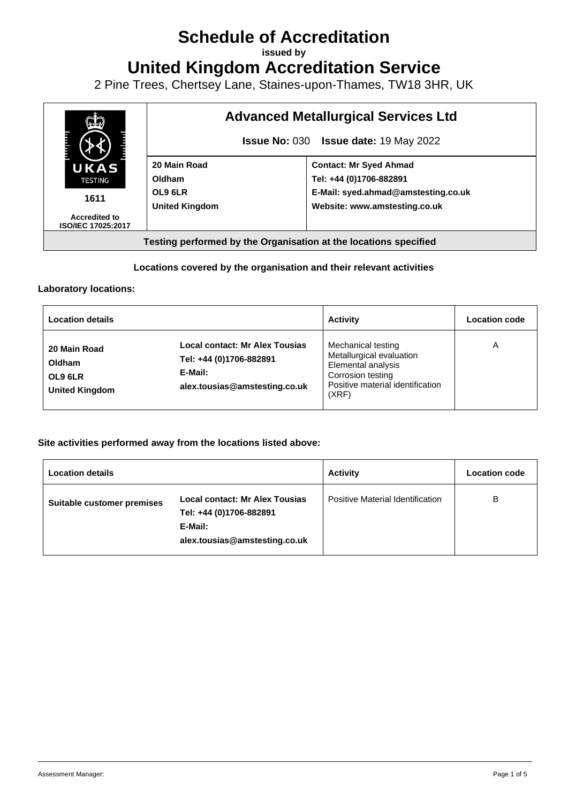# **Schedule of Accreditation**

**issued by**

**United Kingdom Accreditation Service**

2 Pine Trees, Chertsey Lane, Staines-upon-Thames, TW18 3HR, UK



### **Locations covered by the organisation and their relevant activities**

#### **Laboratory locations:**

| <b>Location details</b>                                    |                                                                                                       | <b>Activity</b>                                                                                                                        | Location code |
|------------------------------------------------------------|-------------------------------------------------------------------------------------------------------|----------------------------------------------------------------------------------------------------------------------------------------|---------------|
| 20 Main Road<br>Oldham<br>OL9 6LR<br><b>United Kingdom</b> | Local contact: Mr Alex Tousias<br>Tel: +44 (0)1706-882891<br>E-Mail:<br>alex.tousias@amstesting.co.uk | Mechanical testing<br>Metallurgical evaluation<br>Elemental analysis<br>Corrosion testing<br>Positive material identification<br>(XRF) | Α             |

#### **Site activities performed away from the locations listed above:**

| <b>Location details</b>    |                                                                                                       | <b>Activity</b>                  | <b>Location code</b> |
|----------------------------|-------------------------------------------------------------------------------------------------------|----------------------------------|----------------------|
| Suitable customer premises | Local contact: Mr Alex Tousias<br>Tel: +44 (0)1706-882891<br>E-Mail:<br>alex.tousias@amstesting.co.uk | Positive Material Identification | В                    |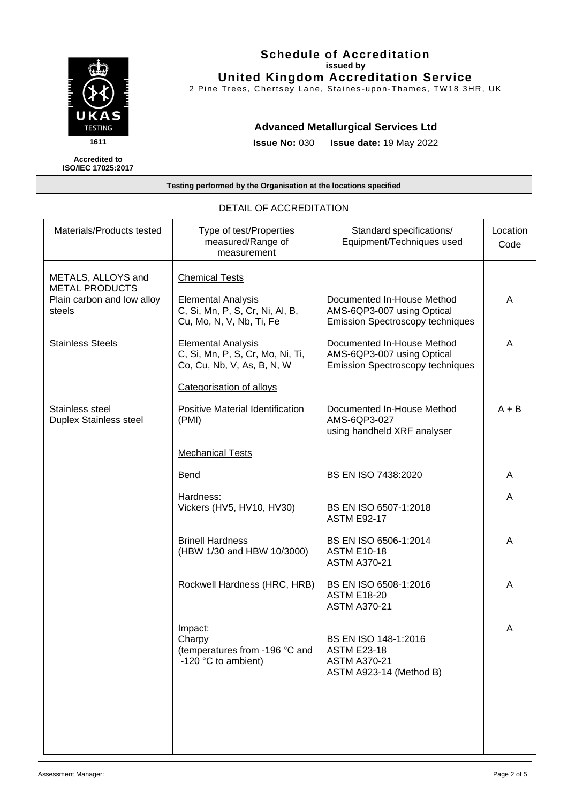| UKAS<br><b>TESTING</b>                            | <b>Schedule of Accreditation</b><br>issued by<br><b>United Kingdom Accreditation Service</b><br>2 Pine Trees, Chertsey Lane, Staines-upon-Thames, TW18 3HR, UK |
|---------------------------------------------------|----------------------------------------------------------------------------------------------------------------------------------------------------------------|
|                                                   | <b>Advanced Metallurgical Services Ltd</b>                                                                                                                     |
| 1611                                              | <b>Issue No: <math>030</math></b><br><b>Issue date: 19 May 2022</b>                                                                                            |
| <b>Accredited to</b><br><b>ISO/IEC 17025:2017</b> |                                                                                                                                                                |
|                                                   | Testing performed by the Organisation at the locations specified                                                                                               |

| Materials/Products tested                                     | Type of test/Properties<br>measured/Range of<br>measurement                                 | Standard specifications/<br>Equipment/Techniques used                                               | Location<br>Code |
|---------------------------------------------------------------|---------------------------------------------------------------------------------------------|-----------------------------------------------------------------------------------------------------|------------------|
| METALS, ALLOYS and                                            | <b>Chemical Tests</b>                                                                       |                                                                                                     |                  |
| <b>METAL PRODUCTS</b><br>Plain carbon and low alloy<br>steels | <b>Elemental Analysis</b><br>C, Si, Mn, P, S, Cr, Ni, Al, B,<br>Cu, Mo, N, V, Nb, Ti, Fe    | Documented In-House Method<br>AMS-6QP3-007 using Optical<br><b>Emission Spectroscopy techniques</b> | A                |
| <b>Stainless Steels</b>                                       | <b>Elemental Analysis</b><br>C, Si, Mn, P, S, Cr, Mo, Ni, Ti,<br>Co, Cu, Nb, V, As, B, N, W | Documented In-House Method<br>AMS-6QP3-007 using Optical<br><b>Emission Spectroscopy techniques</b> | A                |
|                                                               | Categorisation of alloys                                                                    |                                                                                                     |                  |
| Stainless steel<br><b>Duplex Stainless steel</b>              | Positive Material Identification<br>(PMI)                                                   | Documented In-House Method<br>AMS-6QP3-027<br>using handheld XRF analyser                           | $A + B$          |
|                                                               | <b>Mechanical Tests</b>                                                                     |                                                                                                     |                  |
|                                                               | <b>Bend</b>                                                                                 | BS EN ISO 7438:2020                                                                                 | A                |
|                                                               | Hardness:<br>Vickers (HV5, HV10, HV30)                                                      | BS EN ISO 6507-1:2018<br><b>ASTM E92-17</b>                                                         | A                |
|                                                               | <b>Brinell Hardness</b><br>(HBW 1/30 and HBW 10/3000)                                       | BS EN ISO 6506-1:2014<br><b>ASTM E10-18</b><br><b>ASTM A370-21</b>                                  | Α                |
|                                                               | Rockwell Hardness (HRC, HRB)                                                                | BS EN ISO 6508-1:2016<br><b>ASTM E18-20</b><br><b>ASTM A370-21</b>                                  | A                |
|                                                               | Impact:<br>Charpy<br>(temperatures from -196 °C and<br>-120 $\degree$ C to ambient)         | BS EN ISO 148-1:2016<br><b>ASTM E23-18</b><br><b>ASTM A370-21</b><br>ASTM A923-14 (Method B)        | A                |
|                                                               |                                                                                             |                                                                                                     |                  |

## DETAIL OF ACCREDITATION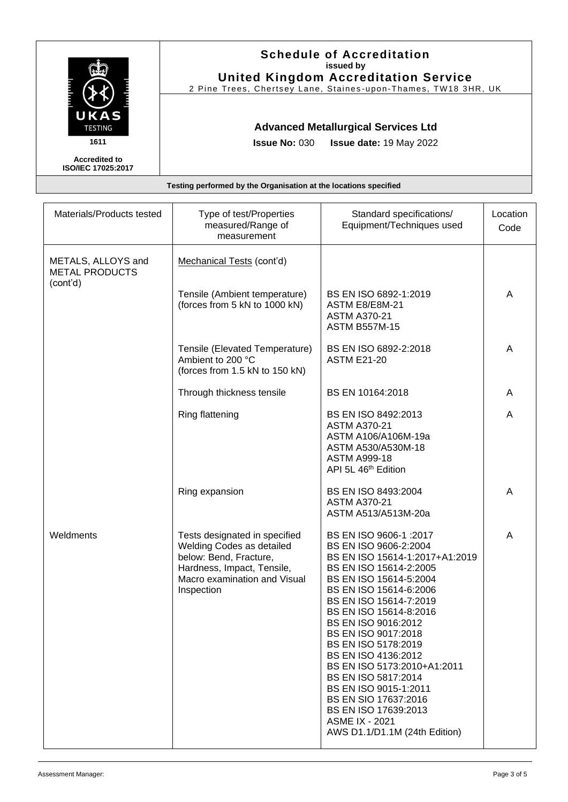| UKAS<br><b>TESTING</b>                            | <b>Schedule of Accreditation</b><br>issued by<br><b>United Kingdom Accreditation Service</b><br>2 Pine Trees, Chertsey Lane, Staines-upon-Thames, TW18 3HR, UK |
|---------------------------------------------------|----------------------------------------------------------------------------------------------------------------------------------------------------------------|
|                                                   | <b>Advanced Metallurgical Services Ltd</b>                                                                                                                     |
| 1611                                              | <b>Issue No: <math>030</math></b><br><b>Issue date: 19 May 2022</b>                                                                                            |
| <b>Accredited to</b><br><b>ISO/IEC 17025:2017</b> |                                                                                                                                                                |
|                                                   | Testing performed by the Organisation at the locations specified                                                                                               |

| Materials/Products tested                   | Type of test/Properties<br>measured/Range of<br>measurement                                                                                                      | Standard specifications/<br>Equipment/Techniques used                                                                                                                                                                                                                                                                                                                                                                                                                                                     | Location<br>Code |
|---------------------------------------------|------------------------------------------------------------------------------------------------------------------------------------------------------------------|-----------------------------------------------------------------------------------------------------------------------------------------------------------------------------------------------------------------------------------------------------------------------------------------------------------------------------------------------------------------------------------------------------------------------------------------------------------------------------------------------------------|------------------|
| METALS, ALLOYS and<br><b>METAL PRODUCTS</b> | Mechanical Tests (cont'd)                                                                                                                                        |                                                                                                                                                                                                                                                                                                                                                                                                                                                                                                           |                  |
| (cont'd)                                    | Tensile (Ambient temperature)<br>(forces from 5 kN to 1000 kN)                                                                                                   | BS EN ISO 6892-1:2019<br>ASTM E8/E8M-21<br><b>ASTM A370-21</b><br><b>ASTM B557M-15</b>                                                                                                                                                                                                                                                                                                                                                                                                                    | Α                |
|                                             | Tensile (Elevated Temperature)<br>Ambient to 200 °C<br>(forces from 1.5 kN to 150 kN)                                                                            | BS EN ISO 6892-2:2018<br><b>ASTM E21-20</b>                                                                                                                                                                                                                                                                                                                                                                                                                                                               | A                |
|                                             | Through thickness tensile                                                                                                                                        | BS EN 10164:2018                                                                                                                                                                                                                                                                                                                                                                                                                                                                                          | A                |
|                                             | Ring flattening                                                                                                                                                  | BS EN ISO 8492:2013<br><b>ASTM A370-21</b><br>ASTM A106/A106M-19a<br>ASTM A530/A530M-18<br><b>ASTM A999-18</b><br>API 5L 46 <sup>th</sup> Edition                                                                                                                                                                                                                                                                                                                                                         | Α                |
|                                             | Ring expansion                                                                                                                                                   | BS EN ISO 8493:2004<br><b>ASTM A370-21</b><br>ASTM A513/A513M-20a                                                                                                                                                                                                                                                                                                                                                                                                                                         | A                |
| Weldments                                   | Tests designated in specified<br>Welding Codes as detailed<br>below: Bend, Fracture,<br>Hardness, Impact, Tensile,<br>Macro examination and Visual<br>Inspection | BS EN ISO 9606-1 : 2017<br>BS EN ISO 9606-2:2004<br>BS EN ISO 15614-1:2017+A1:2019<br>BS EN ISO 15614-2:2005<br>BS EN ISO 15614-5:2004<br>BS EN ISO 15614-6:2006<br>BS EN ISO 15614-7:2019<br>BS EN ISO 15614-8:2016<br>BS EN ISO 9016:2012<br>BS EN ISO 9017:2018<br>BS EN ISO 5178:2019<br>BS EN ISO 4136:2012<br>BS EN ISO 5173:2010+A1:2011<br>BS EN ISO 5817:2014<br>BS EN ISO 9015-1:2011<br>BS EN SIO 17637:2016<br>BS EN ISO 17639:2013<br><b>ASME IX - 2021</b><br>AWS D1.1/D1.1M (24th Edition) | A                |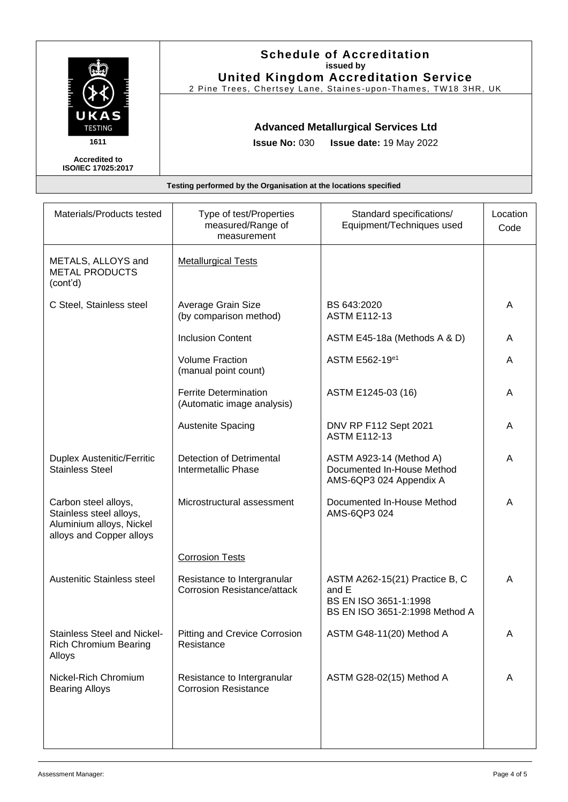|                                                   | <b>Schedule of Accreditation</b><br>issued by<br><b>United Kingdom Accreditation Service</b> |
|---------------------------------------------------|----------------------------------------------------------------------------------------------|
|                                                   | 2 Pine Trees, Chertsey Lane, Staines-upon-Thames, TW18 3HR, UK                               |
| <b>UKAS</b><br><b>TESTING</b>                     | <b>Advanced Metallurgical Services Ltd</b>                                                   |
| 1611                                              | <b>Issue No: <math>030</math></b><br><b>Issue date: 19 May 2022</b>                          |
| <b>Accredited to</b><br><b>ISO/IEC 17025:2017</b> |                                                                                              |
|                                                   | Testing performed by the Organisation at the locations specified                             |

| Materials/Products tested                                                                               | Type of test/Properties<br>measured/Range of<br>measurement       | Standard specifications/<br>Equipment/Techniques used                                              | Location<br>Code |
|---------------------------------------------------------------------------------------------------------|-------------------------------------------------------------------|----------------------------------------------------------------------------------------------------|------------------|
| METALS, ALLOYS and<br><b>METAL PRODUCTS</b><br>(cont'd)                                                 | <b>Metallurgical Tests</b>                                        |                                                                                                    |                  |
| C Steel, Stainless steel                                                                                | Average Grain Size<br>(by comparison method)                      | BS 643:2020<br><b>ASTM E112-13</b>                                                                 | A                |
|                                                                                                         | <b>Inclusion Content</b>                                          | ASTM E45-18a (Methods A & D)                                                                       | A                |
|                                                                                                         | <b>Volume Fraction</b><br>(manual point count)                    | ASTM E562-19 <sup>e1</sup>                                                                         | A                |
|                                                                                                         | <b>Ferrite Determination</b><br>(Automatic image analysis)        | ASTM E1245-03 (16)                                                                                 | A                |
|                                                                                                         | <b>Austenite Spacing</b>                                          | DNV RP F112 Sept 2021<br><b>ASTM E112-13</b>                                                       | A                |
| <b>Duplex Austenitic/Ferritic</b><br><b>Stainless Steel</b>                                             | <b>Detection of Detrimental</b><br>Intermetallic Phase            | ASTM A923-14 (Method A)<br>Documented In-House Method<br>AMS-6QP3 024 Appendix A                   | A                |
| Carbon steel alloys,<br>Stainless steel alloys,<br>Aluminium alloys, Nickel<br>alloys and Copper alloys | Microstructural assessment                                        | Documented In-House Method<br>AMS-6QP3 024                                                         | A                |
|                                                                                                         | <b>Corrosion Tests</b>                                            |                                                                                                    |                  |
| Austenitic Stainless steel                                                                              | Resistance to Intergranular<br><b>Corrosion Resistance/attack</b> | ASTM A262-15(21) Practice B, C<br>and E<br>BS EN ISO 3651-1:1998<br>BS EN ISO 3651-2:1998 Method A | A                |
| Stainless Steel and Nickel-<br><b>Rich Chromium Bearing</b><br>Alloys                                   | <b>Pitting and Crevice Corrosion</b><br>Resistance                | ASTM G48-11(20) Method A                                                                           | A                |
| Nickel-Rich Chromium<br><b>Bearing Alloys</b>                                                           | Resistance to Intergranular<br><b>Corrosion Resistance</b>        | ASTM G28-02(15) Method A                                                                           | A                |